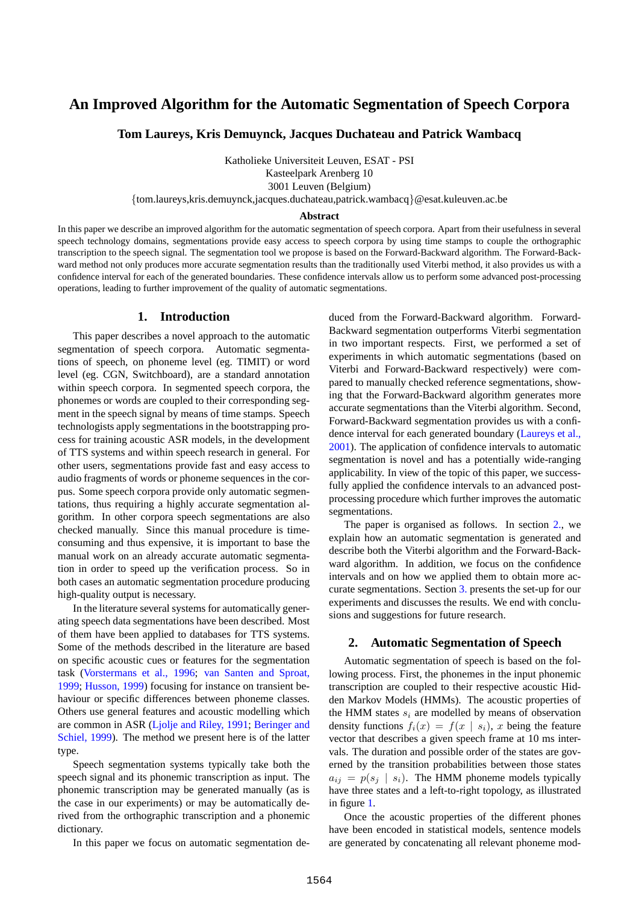# **An Improved Algorithm for the Automatic Segmentation of Speech Corpora**

**Tom Laureys, Kris Demuynck, Jacques Duchateau and Patrick Wambacq**

Katholieke Universiteit Leuven, ESAT - PSI

Kasteelpark Arenberg 10

3001 Leuven (Belgium)

{tom.laureys,kris.demuynck,jacques.duchateau,patrick.wambacq}@esat.kuleuven.ac.be

### **Abstract**

In this paper we describe an improved algorithm for the automatic segmentation of speech corpora. Apart from their usefulness in several speech technology domains, segmentations provide easy access to speech corpora by using time stamps to couple the orthographic transcription to the speech signal. The segmentation tool we propose is based on the Forward-Backward algorithm. The Forward-Backward method not only produces more accurate segmentation results than the traditionally used Viterbi method, it also provides us with a confidence interval for each of the generated boundaries. These confidence intervals allow us to perform some advanced post-processing operations, leading to further improvement of the quality of automatic segmentations.

### **1. Introduction**

This paper describes a novel approach to the automatic segmentation of speech corpora. Automatic segmentations of speech, on phoneme level (eg. TIMIT) or word level (eg. CGN, Switchboard), are a standard annotation within speech corpora. In segmented speech corpora, the phonemes or words are coupled to their corresponding segment in the speech signal by means of time stamps. Speech technologists apply segmentations in the bootstrapping process for training acoustic ASR models, in the development of TTS systems and within speech research in general. For other users, segmentations provide fast and easy access to audio fragments of words or phoneme sequences in the corpus. Some speech corpora provide only automatic segmentations, thus requiring a highly accurate segmentation algorithm. In other corpora speech segmentations are also checked manually. Since this manual procedure is timeconsuming and thus expensive, it is important to base the manual work on an already accurate automatic segmentation in order to speed up the verification process. So in both cases an automatic segmentation procedure producing high-quality output is necessary.

In the literature several systems for automatically generating speech data segmentations have been described. Most of them have been applied to databases for TTS systems. Some of the methods described in the literature are based on specific acoustic cues or features for the segmentation task (Vorstermans et al., 1996; van Santen and Sproat, 1999; Husson, 1999) focusing for instance on transient behaviour or specific differences between phoneme classes. Others use general features and acoustic modelling which are common in ASR (Ljolje and Riley, 1991; Beringer and Schiel, 1999). The method we present here is of the latter type.

Speech segmentation systems typically take both the speech signal and its phonemic transcription as input. The phonemic transcription may be generated manually (as is the case in our experiments) or may be automatically derived from the orthographic transcription and a phonemic dictionary.

In this paper we focus on automatic segmentation de-

duced from the Forward-Backward algorithm. Forward-Backward segmentation outperforms Viterbi segmentation in two important respects. First, we performed a set of experiments in which automatic segmentations (based on Viterbi and Forward-Backward respectively) were compared to manually checked reference segmentations, showing that the Forward-Backward algorithm generates more accurate segmentations than the Viterbi algorithm. Second, Forward-Backward segmentation provides us with a confidence interval for each generated boundary (Laureys et al., 2001). The application of confidence intervals to automatic segmentation is novel and has a potentially wide-ranging applicability. In view of the topic of this paper, we successfully applied the confidence intervals to an advanced postprocessing procedure which further improves the automatic segmentations.

The paper is organised as follows. In section [2.,](#page-0-0) we explain how an automatic segmentation is generated and describe both the Viterbi algorithm and the Forward-Backward algorithm. In addition, we focus on the confidence intervals and on how we applied them to obtain more accurate segmentations. Section [3.](#page-2-0) presents the set-up for our experiments and discusses the results. We end with conclusions and suggestions for future research.

## <span id="page-0-0"></span>**2. Automatic Segmentation of Speech**

Automatic segmentation of speech is based on the following process. First, the phonemes in the input phonemic transcription are coupled to their respective acoustic Hidden Markov Models (HMMs). The acoustic properties of the HMM states  $s_i$  are modelled by means of observation density functions  $f_i(x) = f(x | s_i)$ , x being the feature vector that describes a given speech frame at 10 ms intervals. The duration and possible order of the states are governed by the transition probabilities between those states  $a_{ij} = p(s_j \mid s_i)$ . The HMM phoneme models typically have three states and a left-to-right topology, as illustrated in figure [1.](#page-1-0)

Once the acoustic properties of the different phones have been encoded in statistical models, sentence models are generated by concatenating all relevant phoneme mod-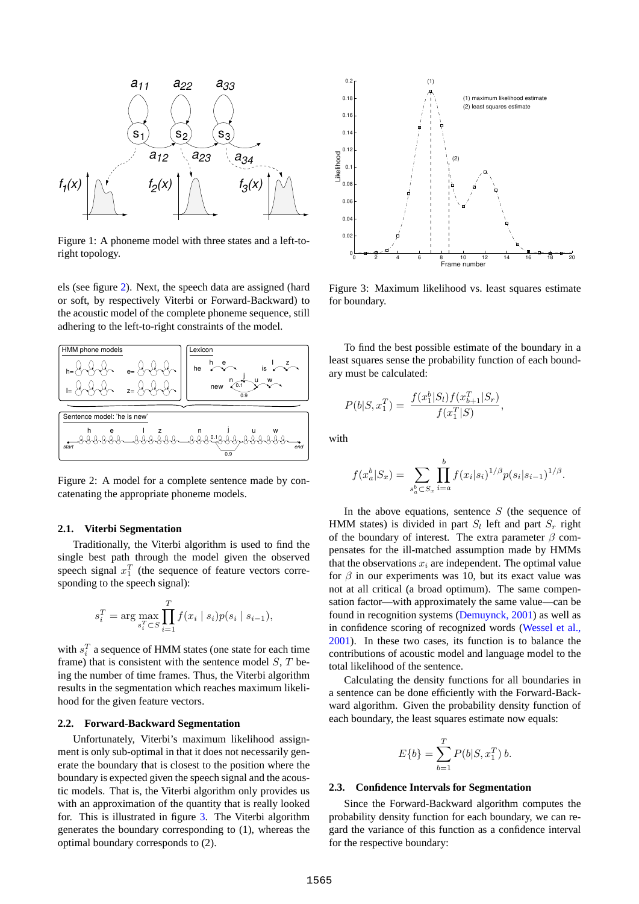

<span id="page-1-0"></span>Figure 1: A phoneme model with three states and a left-toright topology.

els (see figure [2](#page-1-1)). Next, the speech data are assigned (hard or soft, by respectively Viterbi or Forward-Backward) to the acoustic model of the complete phoneme sequence, still adhering to the left-to-right constraints of the model.



<span id="page-1-1"></span>Figure 2: A model for a complete sentence made by concatenating the appropriate phoneme models.

#### **2.1. Viterbi Segmentation**

Traditionally, the Viterbi algorithm is used to find the single best path through the model given the observed speech signal  $x_1^T$  (the sequence of feature vectors corresponding to the speech signal):

$$
s_i^T = \arg \max_{s_i^T \subset S} \prod_{i=1}^T f(x_i \mid s_i) p(s_i \mid s_{i-1}),
$$

with  $s_i^T$  a sequence of HMM states (one state for each time frame) that is consistent with the sentence model  $S$ ,  $T$  being the number of time frames. Thus, the Viterbi algorithm results in the segmentation which reaches maximum likelihood for the given feature vectors.

#### **2.2. Forward-Backward Segmentation**

Unfortunately, Viterbi's maximum likelihood assignment is only sub-optimal in that it does not necessarily generate the boundary that is closest to the position where the boundary is expected given the speech signal and the acoustic models. That is, the Viterbi algorithm only provides us with an approximation of the quantity that is really looked for. This is illustrated in figure [3](#page-1-2). The Viterbi algorithm generates the boundary corresponding to (1), whereas the optimal boundary corresponds to (2).



<span id="page-1-2"></span>Figure 3: Maximum likelihood vs. least squares estimate for boundary.

To find the best possible estimate of the boundary in a least squares sense the probability function of each boundary must be calculated:

$$
P(b|S, x_1^T) = \frac{f(x_1^b|S_l)f(x_{b+1}^T|S_r)}{f(x_1^T|S)},
$$

with

$$
f(x_a^b|S_x) = \sum_{s_a^b \subset S_x} \prod_{i=a}^b f(x_i|s_i)^{1/\beta} p(s_i|s_{i-1})^{1/\beta}.
$$

In the above equations, sentence  $S$  (the sequence of HMM states) is divided in part  $S_l$  left and part  $S_r$  right of the boundary of interest. The extra parameter  $\beta$  compensates for the ill-matched assumption made by HMMs that the observations  $x_i$  are independent. The optimal value for  $\beta$  in our experiments was 10, but its exact value was not at all critical (a broad optimum). The same compensation factor—with approximately the same value—can be found in recognition systems (Demuynck, 2001) as well as in confidence scoring of recognized words (Wessel et al., 2001). In these two cases, its function is to balance the contributions of acoustic model and language model to the total likelihood of the sentence.

Calculating the density functions for all boundaries in a sentence can be done efficiently with the Forward-Backward algorithm. Given the probability density function of each boundary, the least squares estimate now equals:

$$
E\{b\} = \sum_{b=1}^{T} P(b|S, x_1^T) b.
$$

#### <span id="page-1-3"></span>**2.3. Confidence Intervals for Segmentation**

Since the Forward-Backward algorithm computes the probability density function for each boundary, we can regard the variance of this function as a confidence interval for the respective boundary: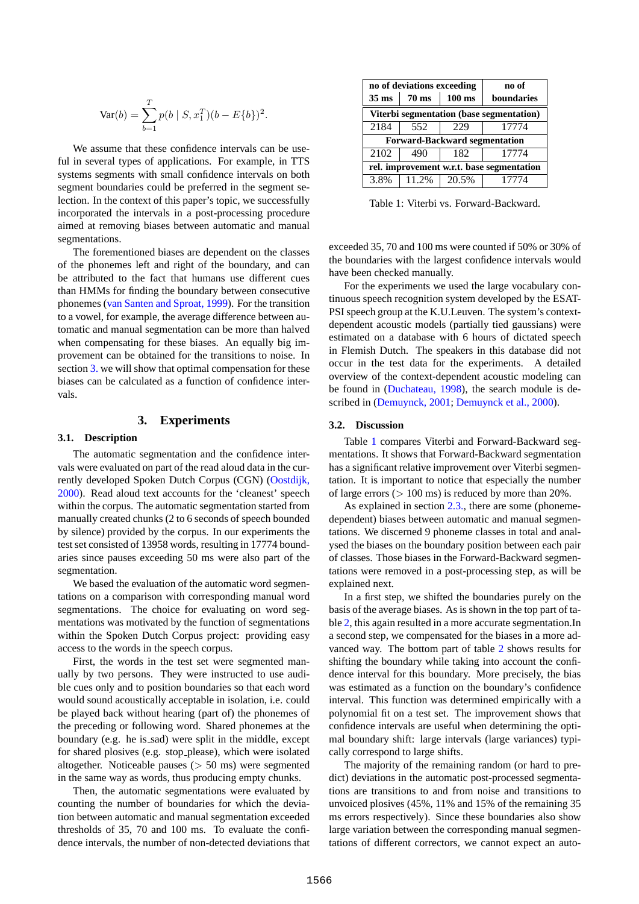$$
Var(b) = \sum_{b=1}^{T} p(b \mid S, x_1^T)(b - E\{b\})^2.
$$

We assume that these confidence intervals can be useful in several types of applications. For example, in TTS systems segments with small confidence intervals on both segment boundaries could be preferred in the segment selection. In the context of this paper's topic, we successfully incorporated the intervals in a post-processing procedure aimed at removing biases between automatic and manual segmentations.

The forementioned biases are dependent on the classes of the phonemes left and right of the boundary, and can be attributed to the fact that humans use different cues than HMMs for finding the boundary between consecutive phonemes (van Santen and Sproat, 1999). For the transition to a vowel, for example, the average difference between automatic and manual segmentation can be more than halved when compensating for these biases. An equally big improvement can be obtained for the transitions to noise. In section [3.](#page-2-0) we will show that optimal compensation for these biases can be calculated as a function of confidence intervals.

# **3. Experiments**

### <span id="page-2-2"></span><span id="page-2-0"></span>**3.1. Description**

The automatic segmentation and the confidence intervals were evaluated on part of the read aloud data in the currently developed Spoken Dutch Corpus (CGN) (Oostdijk, 2000). Read aloud text accounts for the 'cleanest' speech within the corpus. The automatic segmentation started from manually created chunks (2 to 6 seconds of speech bounded by silence) provided by the corpus. In our experiments the test set consisted of 13958 words, resulting in 17774 boundaries since pauses exceeding 50 ms were also part of the segmentation.

We based the evaluation of the automatic word segmentations on a comparison with corresponding manual word segmentations. The choice for evaluating on word segmentations was motivated by the function of segmentations within the Spoken Dutch Corpus project: providing easy access to the words in the speech corpus.

First, the words in the test set were segmented manually by two persons. They were instructed to use audible cues only and to position boundaries so that each word would sound acoustically acceptable in isolation, i.e. could be played back without hearing (part of) the phonemes of the preceding or following word. Shared phonemes at the boundary (e.g. he is sad) were split in the middle, except for shared plosives (e.g. stop please), which were isolated altogether. Noticeable pauses (> 50 ms) were segmented in the same way as words, thus producing empty chunks.

Then, the automatic segmentations were evaluated by counting the number of boundaries for which the deviation between automatic and manual segmentation exceeded thresholds of 35, 70 and 100 ms. To evaluate the confidence intervals, the number of non-detected deviations that

|                                           | no of deviations exceeding | no of            |            |  |  |  |  |
|-------------------------------------------|----------------------------|------------------|------------|--|--|--|--|
| $35 \text{ ms}$                           | $70 \text{ ms}$            | $100 \text{ ms}$ | boundaries |  |  |  |  |
| Viterbi segmentation (base segmentation)  |                            |                  |            |  |  |  |  |
| 2184                                      | 552                        | 229              | 17774      |  |  |  |  |
| <b>Forward-Backward segmentation</b>      |                            |                  |            |  |  |  |  |
| 2102                                      | 490                        | 182              | 17774      |  |  |  |  |
| rel. improvement w.r.t. base segmentation |                            |                  |            |  |  |  |  |
| 3.8%                                      | 11.2%                      | 20.5%            | 17774      |  |  |  |  |

<span id="page-2-1"></span>Table 1: Viterbi vs. Forward-Backward.

exceeded 35, 70 and 100 ms were counted if 50% or 30% of the boundaries with the largest confidence intervals would have been checked manually.

For the experiments we used the large vocabulary continuous speech recognition system developed by the ESAT-PSI speech group at the K.U.Leuven. The system's contextdependent acoustic models (partially tied gaussians) were estimated on a database with 6 hours of dictated speech in Flemish Dutch. The speakers in this database did not occur in the test data for the experiments. A detailed overview of the context-dependent acoustic modeling can be found in (Duchateau, 1998), the search module is described in (Demuynck, 2001; Demuynck et al., 2000).

### **3.2. Discussion**

Table [1](#page-2-1) compares Viterbi and Forward-Backward segmentations. It shows that Forward-Backward segmentation has a significant relative improvement over Viterbi segmentation. It is important to notice that especially the number of large errors  $(> 100 \text{ ms})$  is reduced by more than 20%.

As explained in section [2.3.,](#page-1-3) there are some (phonemedependent) biases between automatic and manual segmentations. We discerned 9 phoneme classes in total and analysed the biases on the boundary position between each pair of classes. Those biases in the Forward-Backward segmentations were removed in a post-processing step, as will be explained next.

In a first step, we shifted the boundaries purely on the basis of the average biases. As is shown in the top part of table [2,](#page-3-0) this again resulted in a more accurate segmentation.In a second step, we compensated for the biases in a more advanced way. The bottom part of table [2](#page-3-0) shows results for shifting the boundary while taking into account the confidence interval for this boundary. More precisely, the bias was estimated as a function on the boundary's confidence interval. This function was determined empirically with a polynomial fit on a test set. The improvement shows that confidence intervals are useful when determining the optimal boundary shift: large intervals (large variances) typically correspond to large shifts.

The majority of the remaining random (or hard to predict) deviations in the automatic post-processed segmentations are transitions to and from noise and transitions to unvoiced plosives (45%, 11% and 15% of the remaining 35 ms errors respectively). Since these boundaries also show large variation between the corresponding manual segmentations of different correctors, we cannot expect an auto-